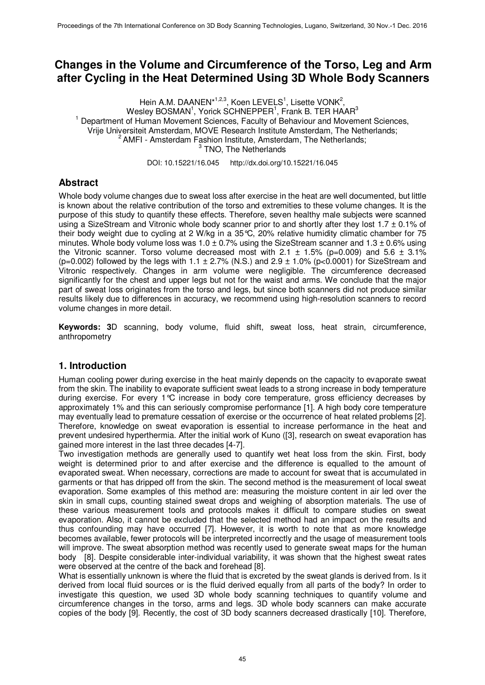# **Changes in the Volume and Circumference of the Torso, Leg and Arm after Cycling in the Heat Determined Using 3D Whole Body Scanners**

Hein A.M. DAANEN\*<sup>1,2,3</sup>, Koen LEVELS<sup>1</sup>, Lisette VONK<sup>2</sup>, Wesley BOSMAN<sup>1</sup>, Yorick SCHNEPPER<sup>1</sup>, Frank B. TER HAAR<sup>3</sup> <sup>1</sup> Department of Human Movement Sciences, Faculty of Behaviour and Movement Sciences, Vrije Universiteit Amsterdam, MOVE Research Institute Amsterdam, The Netherlands;  $2$  AMFI - Amsterdam Fashion Institute, Amsterdam, The Netherlands; <sup>3</sup> TNO, The Netherlands

DOI: 10.15221/16.045 http://dx.doi.org/10.15221/16.045

## **Abstract**

Whole body volume changes due to sweat loss after exercise in the heat are well documented, but little is known about the relative contribution of the torso and extremities to these volume changes. It is the purpose of this study to quantify these effects. Therefore, seven healthy male subjects were scanned using a SizeStream and Vitronic whole body scanner prior to and shortly after they lost 1.7 ± 0.1% of their body weight due to cycling at 2 W/kg in a 35°C, 20% relative humidity climatic chamber for 75 minutes. Whole body volume loss was  $1.0 \pm 0.7\%$  using the SizeStream scanner and  $1.3 \pm 0.6\%$  using the Vitronic scanner. Torso volume decreased most with 2.1  $\pm$  1.5% (p=0.009) and 5.6  $\pm$  3.1% (p=0.002) followed by the legs with  $1.1 \pm 2.7\%$  (N.S.) and  $2.9 \pm 1.0\%$  (p<0.0001) for SizeStream and Vitronic respectively. Changes in arm volume were negligible. The circumference decreased significantly for the chest and upper legs but not for the waist and arms. We conclude that the major part of sweat loss originates from the torso and legs, but since both scanners did not produce similar results likely due to differences in accuracy, we recommend using high-resolution scanners to record volume changes in more detail.

**Keywords: 3**D scanning, body volume, fluid shift, sweat loss, heat strain, circumference, anthropometry

## **1. Introduction**

Human cooling power during exercise in the heat mainly depends on the capacity to evaporate sweat from the skin. The inability to evaporate sufficient sweat leads to a strong increase in body temperature during exercise. For every 1°C increase in body core temperature, gross efficiency decreases by approximately 1% and this can seriously compromise performance [1]. A high body core temperature may eventually lead to premature cessation of exercise or the occurrence of heat related problems [2]. Therefore, knowledge on sweat evaporation is essential to increase performance in the heat and prevent undesired hyperthermia. After the initial work of Kuno ([3], research on sweat evaporation has gained more interest in the last three decades [4-7].

Two investigation methods are generally used to quantify wet heat loss from the skin. First, body weight is determined prior to and after exercise and the difference is equalled to the amount of evaporated sweat. When necessary, corrections are made to account for sweat that is accumulated in garments or that has dripped off from the skin. The second method is the measurement of local sweat evaporation. Some examples of this method are: measuring the moisture content in air led over the skin in small cups, counting stained sweat drops and weighing of absorption materials. The use of these various measurement tools and protocols makes it difficult to compare studies on sweat evaporation. Also, it cannot be excluded that the selected method had an impact on the results and thus confounding may have occurred [7]. However, it is worth to note that as more knowledge becomes available, fewer protocols will be interpreted incorrectly and the usage of measurement tools will improve. The sweat absorption method was recently used to generate sweat maps for the human body [8]. Despite considerable inter-individual variability, it was shown that the highest sweat rates were observed at the centre of the back and forehead [8].

What is essentially unknown is where the fluid that is excreted by the sweat glands is derived from. Is it derived from local fluid sources or is the fluid derived equally from all parts of the body? In order to investigate this question, we used 3D whole body scanning techniques to quantify volume and circumference changes in the torso, arms and legs. 3D whole body scanners can make accurate copies of the body [9]. Recently, the cost of 3D body scanners decreased drastically [10]. Therefore,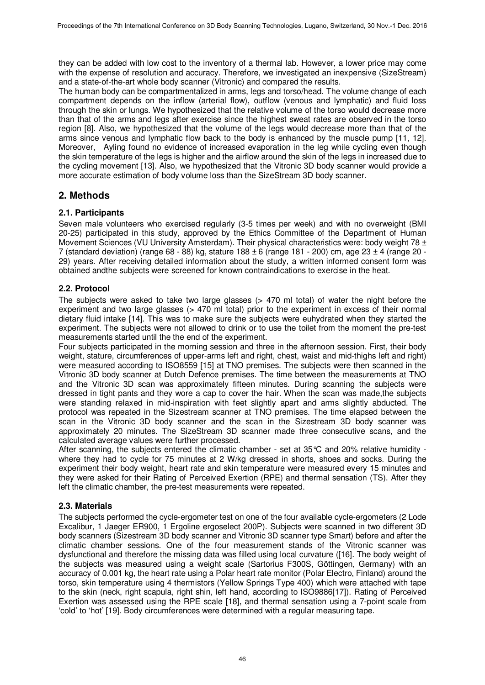they can be added with low cost to the inventory of a thermal lab. However, a lower price may come with the expense of resolution and accuracy. Therefore, we investigated an inexpensive (SizeStream) and a state-of-the-art whole body scanner (Vitronic) and compared the results.

The human body can be compartmentalized in arms, legs and torso/head. The volume change of each compartment depends on the inflow (arterial flow), outflow (venous and lymphatic) and fluid loss through the skin or lungs. We hypothesized that the relative volume of the torso would decrease more than that of the arms and legs after exercise since the highest sweat rates are observed in the torso region [8]. Also, we hypothesized that the volume of the legs would decrease more than that of the arms since venous and lymphatic flow back to the body is enhanced by the muscle pump [11, 12]. Moreover, Ayling found no evidence of increased evaporation in the leg while cycling even though the skin temperature of the legs is higher and the airflow around the skin of the legs in increased due to the cycling movement [13]. Also, we hypothesized that the Vitronic 3D body scanner would provide a more accurate estimation of body volume loss than the SizeStream 3D body scanner.

## **2. Methods**

## **2.1. Participants**

Seven male volunteers who exercised regularly (3-5 times per week) and with no overweight (BMI 20-25) participated in this study, approved by the Ethics Committee of the Department of Human Movement Sciences (VU University Amsterdam). Their physical characteristics were: body weight 78  $\pm$ 7 (standard deviation) (range 68 - 88) kg, stature 188  $\pm$  6 (range 181 - 200) cm, age 23  $\pm$  4 (range 20 -29) years. After receiving detailed information about the study, a written informed consent form was obtained andthe subjects were screened for known contraindications to exercise in the heat.

## **2.2. Protocol**

The subjects were asked to take two large glasses (> 470 ml total) of water the night before the experiment and two large glasses (> 470 ml total) prior to the experiment in excess of their normal dietary fluid intake [14]. This was to make sure the subjects were euhydrated when they started the experiment. The subjects were not allowed to drink or to use the toilet from the moment the pre-test measurements started until the the end of the experiment.

Four subjects participated in the morning session and three in the afternoon session. First, their body weight, stature, circumferences of upper-arms left and right, chest, waist and mid-thighs left and right) were measured according to ISO8559 [15] at TNO premises. The subjects were then scanned in the Vitronic 3D body scanner at Dutch Defence premises. The time between the measurements at TNO and the Vitronic 3D scan was approximately fifteen minutes. During scanning the subjects were dressed in tight pants and they wore a cap to cover the hair. When the scan was made,the subjects were standing relaxed in mid-inspiration with feet slightly apart and arms slightly abducted. The protocol was repeated in the Sizestream scanner at TNO premises. The time elapsed between the scan in the Vitronic 3D body scanner and the scan in the Sizestream 3D body scanner was approximately 20 minutes. The SizeStream 3D scanner made three consecutive scans, and the calculated average values were further processed.

After scanning, the subjects entered the climatic chamber - set at  $35^{\circ}$ C and  $20\%$  relative humidity where they had to cycle for 75 minutes at 2 W/kg dressed in shorts, shoes and socks. During the experiment their body weight, heart rate and skin temperature were measured every 15 minutes and they were asked for their Rating of Perceived Exertion (RPE) and thermal sensation (TS). After they left the climatic chamber, the pre-test measurements were repeated.

## **2.3. Materials**

The subjects performed the cycle-ergometer test on one of the four available cycle-ergometers (2 Lode Excalibur, 1 Jaeger ER900, 1 Ergoline ergoselect 200P). Subjects were scanned in two different 3D body scanners (Sizestream 3D body scanner and Vitronic 3D scanner type Smart) before and after the climatic chamber sessions. One of the four measurement stands of the Vitronic scanner was dysfunctional and therefore the missing data was filled using local curvature ([16]. The body weight of the subjects was measured using a weight scale (Sartorius F300S, Göttingen, Germany) with an accuracy of 0.001 kg, the heart rate using a Polar heart rate monitor (Polar Electro, Finland) around the torso, skin temperature using 4 thermistors (Yellow Springs Type 400) which were attached with tape to the skin (neck, right scapula, right shin, left hand, according to ISO9886[17]). Rating of Perceived Exertion was assessed using the RPE scale [18], and thermal sensation using a 7-point scale from 'cold' to 'hot' [19]. Body circumferences were determined with a regular measuring tape.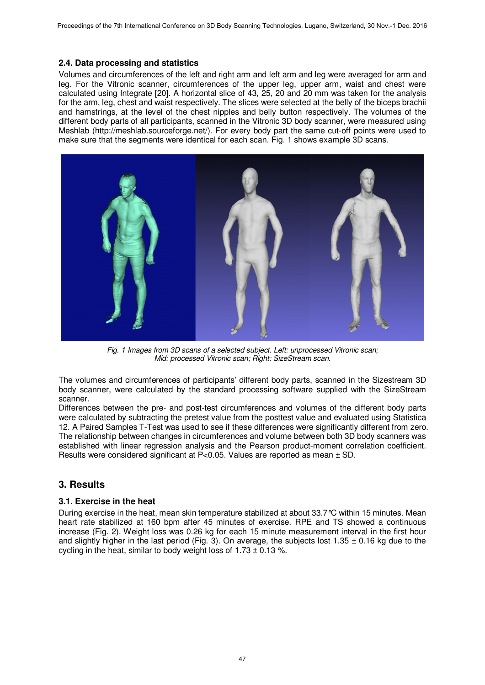#### **2.4. Data processing and statistics**

Volumes and circumferences of the left and right arm and left arm and leg were averaged for arm and leg. For the Vitronic scanner, circumferences of the upper leg, upper arm, waist and chest were calculated using Integrate [20]. A horizontal slice of 43, 25, 20 and 20 mm was taken for the analysis for the arm, leg, chest and waist respectively. The slices were selected at the belly of the biceps brachii and hamstrings, at the level of the chest nipples and belly button respectively. The volumes of the different body parts of all participants, scanned in the Vitronic 3D body scanner, were measured using Meshlab (http://meshlab.sourceforge.net/). For every body part the same cut-off points were used to make sure that the segments were identical for each scan. Fig. 1 shows example 3D scans.



*Fig. 1 Images from 3D scans of a selected subject. Left: unprocessed Vitronic scan; Mid: processed Vitronic scan; Right: SizeStream scan.* 

The volumes and circumferences of participants' different body parts, scanned in the Sizestream 3D body scanner, were calculated by the standard processing software supplied with the SizeStream scanner.

Differences between the pre- and post-test circumferences and volumes of the different body parts were calculated by subtracting the pretest value from the posttest value and evaluated using Statistica 12. A Paired Samples T-Test was used to see if these differences were significantly different from zero. The relationship between changes in circumferences and volume between both 3D body scanners was established with linear regression analysis and the Pearson product-moment correlation coefficient. Results were considered significant at  $P<0.05$ . Values are reported as mean  $\pm$  SD.

## **3. Results**

## **3.1. Exercise in the heat**

During exercise in the heat, mean skin temperature stabilized at about 33.7°C within 15 minutes. Mean heart rate stabilized at 160 bpm after 45 minutes of exercise. RPE and TS showed a continuous increase (Fig. 2). Weight loss was 0.26 kg for each 15 minute measurement interval in the first hour and slightly higher in the last period (Fig. 3). On average, the subjects lost 1.35  $\pm$  0.16 kg due to the cycling in the heat, similar to body weight loss of  $1.73 \pm 0.13$ %.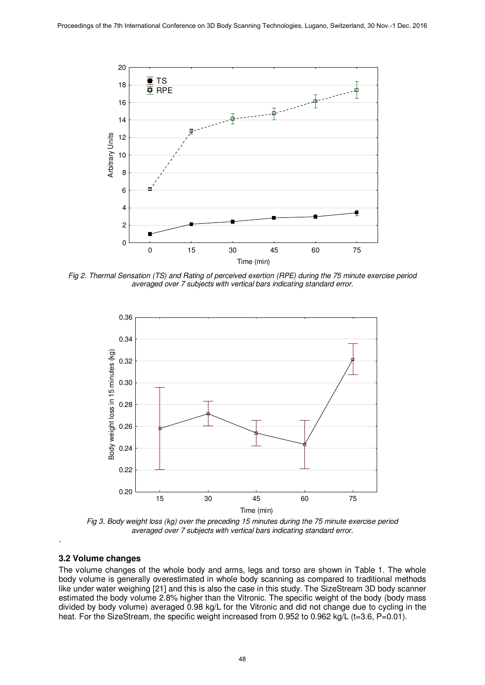

*Fig 2. Thermal Sensation (TS) and Rating of perceived exertion (RPE) during the 75 minute exercise period averaged over 7 subjects with vertical bars indicating standard error.* 



*Fig 3. Body weight loss (kg) over the preceding 15 minutes during the 75 minute exercise period averaged over 7 subjects with vertical bars indicating standard error*.

#### **3.2 Volume changes**

.

The volume changes of the whole body and arms, legs and torso are shown in Table 1. The whole body volume is generally overestimated in whole body scanning as compared to traditional methods like under water weighing [21] and this is also the case in this study. The SizeStream 3D body scanner estimated the body volume 2.8% higher than the Vitronic. The specific weight of the body (body mass divided by body volume) averaged 0.98 kg/L for the Vitronic and did not change due to cycling in the heat. For the SizeStream, the specific weight increased from 0.952 to 0.962 kg/L (t=3.6, P=0.01).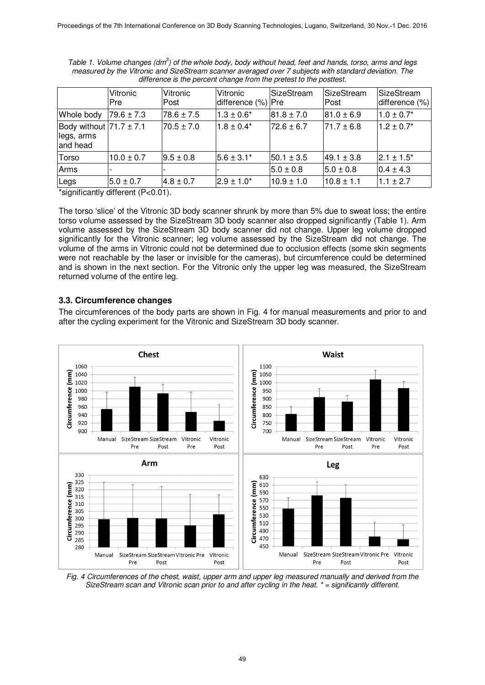|                                                       | Vitronic<br><b>Pre</b> | Vitronic<br>Post | Vitronic<br>difference (%) | <b>SizeStream</b><br>Pre | <b>SizeStream</b><br><b>Post</b> | SizeStream<br>difference (%) |
|-------------------------------------------------------|------------------------|------------------|----------------------------|--------------------------|----------------------------------|------------------------------|
| Whole body                                            | $79.6 \pm 7.3$         | $78.6 \pm 7.5$   | $1.3 \pm 0.6^*$            | $81.8 \pm 7.0$           | $ 81.0 \pm 6.9$                  | $1.0 \pm 0.7$ *              |
| Body without $71.7 \pm 7.1$<br>legs, arms<br>and head |                        | $70.5 \pm 7.0$   | $1.8 \pm 0.4*$             | $72.6 \pm 6.7$           | $71.7 \pm 6.8$                   | $1.2 \pm 0.7^*$              |
| Torso                                                 | $10.0 \pm 0.7$         | $9.5 \pm 0.8$    | $15.6 \pm 3.1^*$           | $50.1 \pm 3.5$           | $ 49.1 \pm 3.8 $                 | $12.1 \pm 1.5^*$             |
| Arms                                                  |                        |                  |                            | $5.0 \pm 0.8$            | $5.0 \pm 0.8$                    | $0.4 \pm 4.3$                |
| Legs                                                  | $5.0 \pm 0.7$          | $4.8 \pm 0.7$    | $2.9 \pm 1.0^*$            | $10.9 \pm 1.0$           | $10.8 \pm 1.1$                   | $1.1 \pm 2.7$                |

*Table 1. Volume changes (dm<sup>3</sup> ) of the whole body, body without head, feet and hands, torso, arms and legs measured by the Vitronic and SizeStream scanner averaged over 7 subjects with standard deviation. The difference is the percent change from the pretest to the posttest.* 

\*significantly different (P<0.01).

The torso 'slice' of the Vitronic 3D body scanner shrunk by more than 5% due to sweat loss; the entire torso volume assessed by the SizeStream 3D body scanner also dropped significantly (Table 1). Arm volume assessed by the SizeStream 3D body scanner did not change. Upper leg volume dropped significantly for the Vitronic scanner; leg volume assessed by the SizeStream did not change. The volume of the arms in Vitronic could not be determined due to occlusion effects (some skin segments were not reachable by the laser or invisible for the cameras), but circumference could be determined and is shown in the next section. For the Vitronic only the upper leg was measured, the SizeStream returned volume of the entire leg.

#### **3.3. Circumference changes**

The circumferences of the body parts are shown in Fig. 4 for manual measurements and prior to and after the cycling experiment for the Vitronic and SizeStream 3D body scanner.



*Fig. 4 Circumferences of the chest, waist, upper arm and upper leg measured manually and derived from the SizeStream scan and Vitronic scan prior to and after cycling in the heat. \* = significantly different.*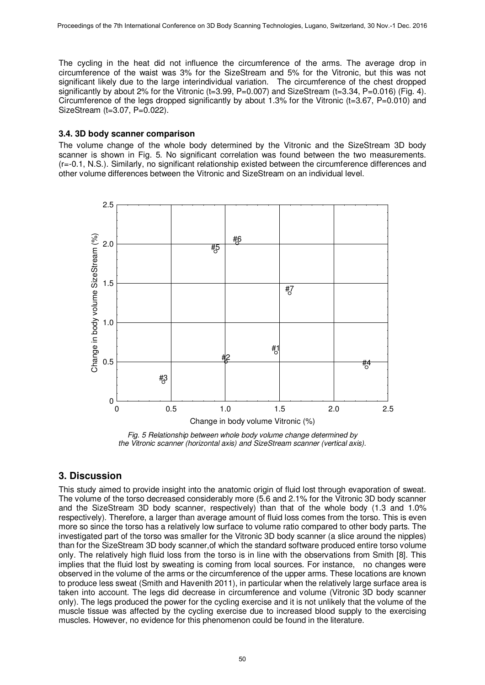The cycling in the heat did not influence the circumference of the arms. The average drop in circumference of the waist was 3% for the SizeStream and 5% for the Vitronic, but this was not significant likely due to the large interindividual variation. The circumference of the chest dropped significantly by about 2% for the Vitronic ( $t=3.99$ ,  $P=0.007$ ) and SizeStream ( $t=3.34$ ,  $P=0.016$ ) (Fig. 4). Circumference of the legs dropped significantly by about 1.3% for the Vitronic (t=3.67,  $P=0.010$ ) and SizeStream (t=3.07, P=0.022).

#### **3.4. 3D body scanner comparison**

The volume change of the whole body determined by the Vitronic and the SizeStream 3D body scanner is shown in Fig. 5. No significant correlation was found between the two measurements. (r=-0.1, N.S.). Similarly, no significant relationship existed between the circumference differences and other volume differences between the Vitronic and SizeStream on an individual level.



*Fig. 5 Relationship between whole body volume change determined by the Vitronic scanner (horizontal axis) and SizeStream scanner (vertical axis).* 

## **3. Discussion**

This study aimed to provide insight into the anatomic origin of fluid lost through evaporation of sweat. The volume of the torso decreased considerably more (5.6 and 2.1% for the Vitronic 3D body scanner and the SizeStream 3D body scanner, respectively) than that of the whole body (1.3 and 1.0% respectively). Therefore, a larger than average amount of fluid loss comes from the torso. This is even more so since the torso has a relatively low surface to volume ratio compared to other body parts. The investigated part of the torso was smaller for the Vitronic 3D body scanner (a slice around the nipples) than for the SizeStream 3D body scanner,of which the standard software produced entire torso volume only. The relatively high fluid loss from the torso is in line with the observations from Smith [8]. This implies that the fluid lost by sweating is coming from local sources. For instance, no changes were observed in the volume of the arms or the circumference of the upper arms. These locations are known to produce less sweat (Smith and Havenith 2011), in particular when the relatively large surface area is taken into account. The legs did decrease in circumference and volume (Vitronic 3D body scanner only). The legs produced the power for the cycling exercise and it is not unlikely that the volume of the muscle tissue was affected by the cycling exercise due to increased blood supply to the exercising muscles. However, no evidence for this phenomenon could be found in the literature.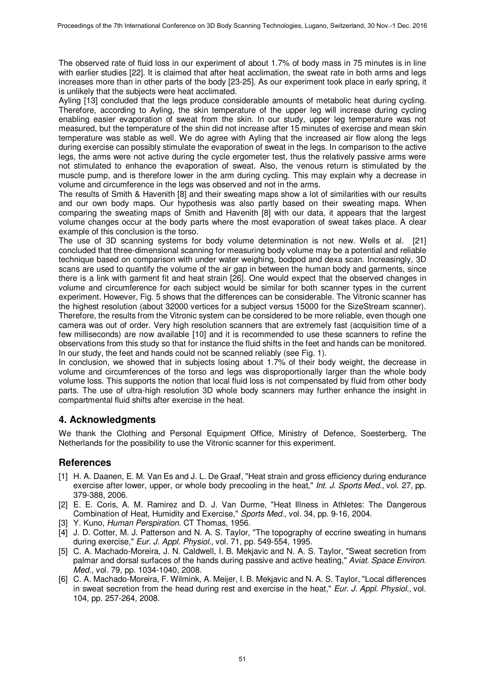The observed rate of fluid loss in our experiment of about 1.7% of body mass in 75 minutes is in line with earlier studies [22]. It is claimed that after heat acclimation, the sweat rate in both arms and legs increases more than in other parts of the body [23-25]. As our experiment took place in early spring, it is unlikely that the subjects were heat acclimated.

Ayling [13] concluded that the legs produce considerable amounts of metabolic heat during cycling. Therefore, according to Ayling, the skin temperature of the upper leg will increase during cycling enabling easier evaporation of sweat from the skin. In our study, upper leg temperature was not measured, but the temperature of the shin did not increase after 15 minutes of exercise and mean skin temperature was stable as well. We do agree with Ayling that the increased air flow along the legs during exercise can possibly stimulate the evaporation of sweat in the legs. In comparison to the active legs, the arms were not active during the cycle ergometer test, thus the relatively passive arms were not stimulated to enhance the evaporation of sweat. Also, the venous return is stimulated by the muscle pump, and is therefore lower in the arm during cycling. This may explain why a decrease in volume and circumference in the legs was observed and not in the arms.

The results of Smith & Havenith [8] and their sweating maps show a lot of similarities with our results and our own body maps. Our hypothesis was also partly based on their sweating maps. When comparing the sweating maps of Smith and Havenith [8] with our data, it appears that the largest volume changes occur at the body parts where the most evaporation of sweat takes place. A clear example of this conclusion is the torso.

The use of 3D scanning systems for body volume determination is not new. Wells et al. [21] concluded that three-dimensional scanning for measuring body volume may be a potential and reliable technique based on comparison with under water weighing, bodpod and dexa scan. Increasingly, 3D scans are used to quantify the volume of the air gap in between the human body and garments, since there is a link with garment fit and heat strain [26]. One would expect that the observed changes in volume and circumference for each subject would be similar for both scanner types in the current experiment. However, Fig. 5 shows that the differences can be considerable. The Vitronic scanner has the highest resolution (about 32000 vertices for a subject versus 15000 for the SizeStream scanner). Therefore, the results from the Vitronic system can be considered to be more reliable, even though one camera was out of order. Very high resolution scanners that are extremely fast (acquisition time of a few milliseconds) are now available [10] and it is recommended to use these scanners to refine the observations from this study so that for instance the fluid shifts in the feet and hands can be monitored. In our study, the feet and hands could not be scanned reliably (see Fig. 1).

In conclusion, we showed that in subjects losing about 1.7% of their body weight, the decrease in volume and circumferences of the torso and legs was disproportionally larger than the whole body volume loss. This supports the notion that local fluid loss is not compensated by fluid from other body parts. The use of ultra-high resolution 3D whole body scanners may further enhance the insight in compartmental fluid shifts after exercise in the heat.

## **4. Acknowledgments**

We thank the Clothing and Personal Equipment Office, Ministry of Defence, Soesterberg, The Netherlands for the possibility to use the Vitronic scanner for this experiment.

## **References**

- [1] H. A. Daanen, E. M. Van Es and J. L. De Graaf, "Heat strain and gross efficiency during endurance exercise after lower, upper, or whole body precooling in the heat," *Int. J. Sports Med.,* vol. 27, pp. 379-388, 2006.
- [2] E. E. Coris, A. M. Ramirez and D. J. Van Durme, "Heat Illness in Athletes: The Dangerous Combination of Heat, Humidity and Exercise," *Sports Med.,* vol. 34, pp. 9-16, 2004.
- [3] Y. Kuno, *Human Perspiration.* CT Thomas, 1956.
- [4] J. D. Cotter, M. J. Patterson and N. A. S. Taylor, "The topography of eccrine sweating in humans during exercise," *Eur. J. Appl. Physiol.,* vol. 71, pp. 549-554, 1995.
- [5] C. A. Machado-Moreira, J. N. Caldwell, I. B. Mekjavic and N. A. S. Taylor, "Sweat secretion from palmar and dorsal surfaces of the hands during passive and active heating," *Aviat. Space Environ. Med.,* vol. 79, pp. 1034-1040, 2008.
- [6] C. A. Machado-Moreira, F. Wilmink, A. Meijer, I. B. Mekjavic and N. A. S. Taylor, "Local differences in sweat secretion from the head during rest and exercise in the heat," *Eur. J. Appl. Physiol.,* vol. 104, pp. 257-264, 2008.